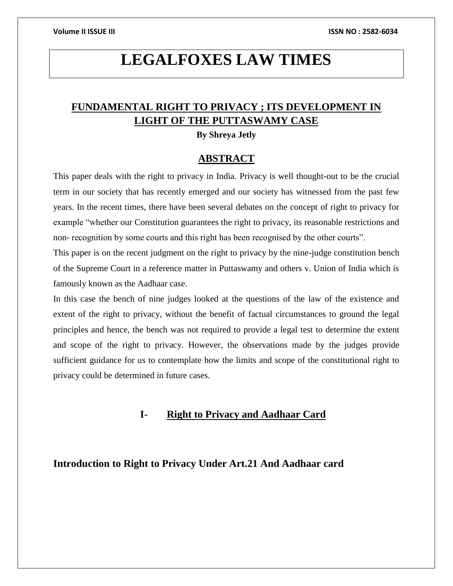# **LEGALFOXES LAW TIMES**

# **FUNDAMENTAL RIGHT TO PRIVACY ; ITS DEVELOPMENT IN LIGHT OF THE PUTTASWAMY CASE**

**By Shreya Jetly**

### **ABSTRACT**

This paper deals with the right to privacy in India. Privacy is well thought-out to be the crucial term in our society that has recently emerged and our society has witnessed from the past few years. In the recent times, there have been several debates on the concept of right to privacy for example "whether our Constitution guarantees the right to privacy, its reasonable restrictions and non- recognition by some courts and this right has been recognised by the other courts".

This paper is on the recent judgment on the right to privacy by the nine-judge constitution bench of the Supreme Court in a reference matter in Puttaswamy and others v. Union of India which is famously known as the Aadhaar case.

In this case the bench of nine judges looked at the questions of the law of the existence and extent of the right to privacy, without the benefit of factual circumstances to ground the legal principles and hence, the bench was not required to provide a legal test to determine the extent and scope of the right to privacy. However, the observations made by the judges provide sufficient guidance for us to contemplate how the limits and scope of the constitutional right to privacy could be determined in future cases.

# **I- Right to Privacy and Aadhaar Card**

### **Introduction to Right to Privacy Under Art.21 And Aadhaar card**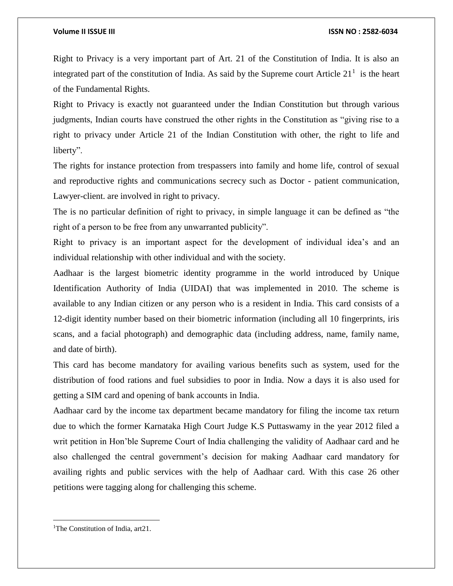Right to Privacy is a very important part of Art. 21 of the Constitution of India. It is also an integrated part of the constitution of India. As said by the Supreme court Article  $21<sup>1</sup>$  is the heart of the Fundamental Rights.

Right to Privacy is exactly not guaranteed under the Indian Constitution but through various judgments, Indian courts have construed the other rights in the Constitution as "giving rise to a right to privacy under Article 21 of the Indian Constitution with other, the right to life and liberty".

The rights for instance protection from trespassers into family and home life, control of sexual and reproductive rights and communications secrecy such as Doctor - patient communication, Lawyer-client. are involved in right to privacy.

The is no particular definition of right to privacy, in simple language it can be defined as "the right of a person to be free from any unwarranted publicity".

Right to privacy is an important aspect for the development of individual idea's and an individual relationship with other individual and with the society.

Aadhaar is the largest biometric identity programme in the world introduced by Unique Identification Authority of India (UIDAI) that was implemented in 2010. The scheme is available to any Indian citizen or any person who is a resident in India. This card consists of a 12-digit identity number based on their biometric information (including all 10 fingerprints, iris scans, and a facial photograph) and demographic data (including address, name, family name, and date of birth).

This card has become mandatory for availing various benefits such as system, used for the distribution of food rations and fuel subsidies to poor in India. Now a days it is also used for getting a SIM card and opening of bank accounts in India.

Aadhaar card by the income tax department became mandatory for filing the income tax return due to which the former Karnataka High Court Judge K.S Puttaswamy in the year 2012 filed a writ petition in Hon'ble Supreme Court of India challenging the validity of Aadhaar card and he also challenged the central government's decision for making Aadhaar card mandatory for availing rights and public services with the help of Aadhaar card. With this case 26 other petitions were tagging along for challenging this scheme.

<sup>&</sup>lt;sup>1</sup>The Constitution of India, art21.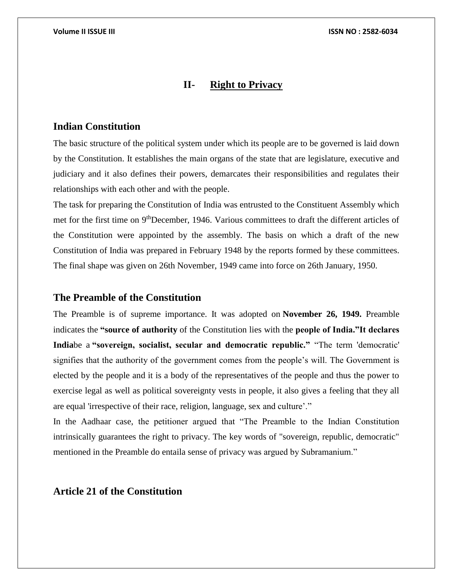### **II- Right to Privacy**

### **Indian Constitution**

The basic structure of the political system under which its people are to be governed is laid down by the Constitution. It establishes the main organs of the state that are legislature, executive and judiciary and it also defines their powers, demarcates their responsibilities and regulates their relationships with each other and with the people.

The task for preparing the Constitution of India was entrusted to the Constituent Assembly which met for the first time on 9thDecember, 1946. Various committees to draft the different articles of the Constitution were appointed by the assembly. The basis on which a draft of the new Constitution of India was prepared in February 1948 by the reports formed by these committees. The final shape was given on 26th November, 1949 came into force on 26th January, 1950.

### **The Preamble of the Constitution**

The Preamble is of supreme importance. It was adopted on **November 26, 1949.** Preamble indicates the **"source of authority** of the Constitution lies with the **people of India."It declares India**be a **"sovereign, socialist, secular and democratic republic."** "The term 'democratic' signifies that the authority of the government comes from the people's will. The Government is elected by the people and it is a body of the representatives of the people and thus the power to exercise legal as well as political sovereignty vests in people, it also gives a feeling that they all are equal 'irrespective of their race, religion, language, sex and culture'."

In the Aadhaar case, the petitioner argued that "The Preamble to the Indian Constitution intrinsically guarantees the right to privacy. The key words of "sovereign, republic, democratic" mentioned in the Preamble do entaila sense of privacy was argued by Subramanium."

### **Article 21 of the Constitution**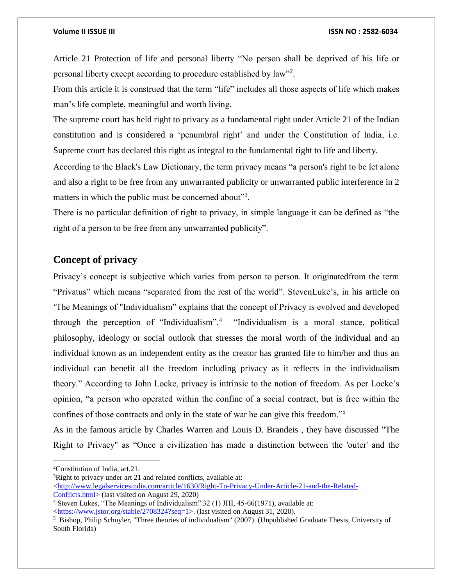Article 21 Protection of life and personal liberty "No person shall be deprived of his life or personal liberty except according to procedure established by law"<sup>2</sup>.

From this article it is construed that the term "life" includes all those aspects of life which makes man's life complete, meaningful and worth living.

The supreme court has held right to privacy as a fundamental right under Article 21 of the Indian constitution and is considered a 'penumbral right' and under the Constitution of India, i.e. Supreme court has declared this right as integral to the fundamental right to life and liberty.

According to the Black's Law Dictionary, the term privacy means "a person's right to be let alone and also a right to be free from any unwarranted publicity or unwarranted public interference in 2 matters in which the public must be concerned about"<sup>3</sup>.

There is no particular definition of right to privacy, in simple language it can be defined as "the right of a person to be free from any unwarranted publicity".

# **Concept of privacy**

Privacy's concept is subjective which varies from person to person. It originatedfrom the term "Privatus" which means "separated from the rest of the world". StevenLuke's, in his article on 'The Meanings of "Individualism" explains that the concept of Privacy is evolved and developed through the perception of "Individualism".<sup>4</sup> "Individualism is a moral stance, political philosophy, ideology or social outlook that stresses the moral worth of the individual and an individual known as an independent entity as the creator has granted life to him/her and thus an individual can benefit all the freedom including privacy as it reflects in the individualism theory." According to John Locke, privacy is intrinsic to the notion of freedom. As per Locke's opinion, "a person who operated within the confine of a social contract, but is free within the confines of those contracts and only in the state of war he can give this freedom."<sup>5</sup>

As in the famous article by Charles Warren and Louis D. Brandeis , they have discussed "The Right to Privacy" as "Once a civilization has made a distinction between the 'outer' and the

 $\overline{a}$ 

<sup>2</sup>Constitution of India, art.21.

<sup>&</sup>lt;sup>3</sup>Right to privacy under art 21 and related conflicts, available at:

 $\langle$ http://www.legalservicesindia.com/article/1630/Right-To-Privacy-Under-Article-21-and-the-Related-

[Conflicts.html>](http://www.legalservicesindia.com/article/1630/Right-To-Privacy-Under-Article-21-and-the-Related-Conflicts.html) (last visited on August 29, 2020)

<sup>4</sup> Steven Lukes, "The Meanings of Individualism" 32 (1) JHI, 45-66(1971), available at:

[<sup>&</sup>lt;https://www.jstor.org/stable/2708324?seq=1>](https://www.jstor.org/stable/2708324?seq=1). (last visited on August 31, 2020).

<sup>&</sup>lt;sup>5</sup> Bishop, Philip Schuyler, "Three theories of individualism" (2007). (Unpublished Graduate Thesis, University of South Florida)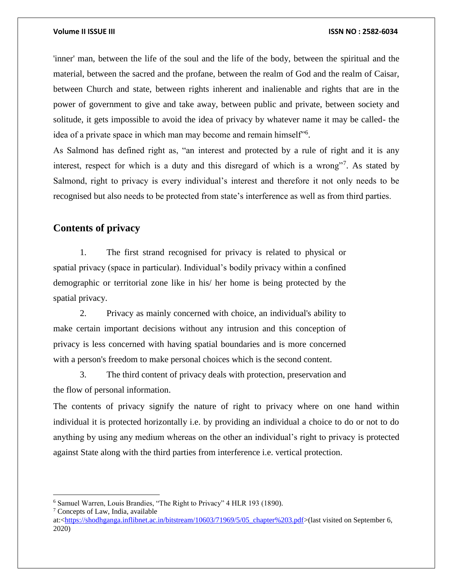'inner' man, between the life of the soul and the life of the body, between the spiritual and the material, between the sacred and the profane, between the realm of God and the realm of Caisar, between Church and state, between rights inherent and inalienable and rights that are in the power of government to give and take away, between public and private, between society and solitude, it gets impossible to avoid the idea of privacy by whatever name it may be called- the idea of a private space in which man may become and remain himself"<sup>6</sup>.

As Salmond has defined right as, "an interest and protected by a rule of right and it is any interest, respect for which is a duty and this disregard of which is a wrong"? As stated by Salmond, right to privacy is every individual's interest and therefore it not only needs to be recognised but also needs to be protected from state's interference as well as from third parties.

# **Contents of privacy**

1. The first strand recognised for privacy is related to physical or spatial privacy (space in particular). Individual's bodily privacy within a confined demographic or territorial zone like in his/ her home is being protected by the spatial privacy.

2. Privacy as mainly concerned with choice, an individual's ability to make certain important decisions without any intrusion and this conception of privacy is less concerned with having spatial boundaries and is more concerned with a person's freedom to make personal choices which is the second content.

3. The third content of privacy deals with protection, preservation and the flow of personal information.

The contents of privacy signify the nature of right to privacy where on one hand within individual it is protected horizontally i.e. by providing an individual a choice to do or not to do anything by using any medium whereas on the other an individual's right to privacy is protected against State along with the third parties from interference i.e. vertical protection.

<sup>7</sup> Concepts of Law, India, available

 $\overline{a}$ 

<sup>6</sup> Samuel Warren, Louis Brandies, "The Right to Privacy" 4 HLR 193 (1890).

at:[<https://shodhganga.inflibnet.ac.in/bitstream/10603/71969/5/05\\_chapter%203.pdf>](https://shodhganga.inflibnet.ac.in/bitstream/10603/71969/5/05_chapter%203.pdf)(last visited on September 6, 2020)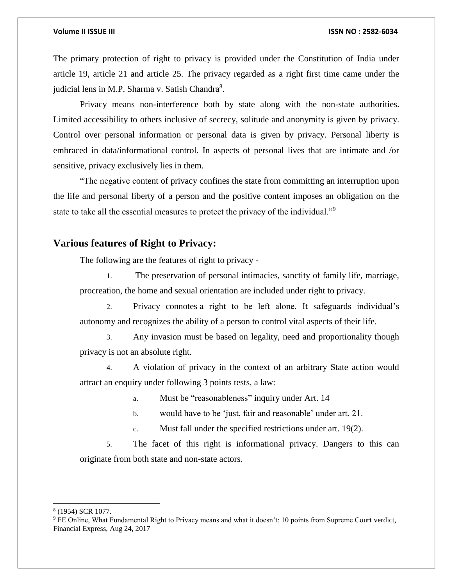The primary protection of right to privacy is provided under the Constitution of India under article 19, article 21 and article 25. The privacy regarded as a right first time came under the judicial lens in M.P. Sharma v. Satish Chandra<sup>8</sup>.

Privacy means non-interference both by state along with the non-state authorities. Limited accessibility to others inclusive of secrecy, solitude and anonymity is given by privacy. Control over personal information or personal data is given by privacy. Personal liberty is embraced in data/informational control. In aspects of personal lives that are intimate and /or sensitive, privacy exclusively lies in them.

"The negative content of privacy confines the state from committing an interruption upon the life and personal liberty of a person and the positive content imposes an obligation on the state to take all the essential measures to protect the privacy of the individual."<sup>9</sup>

# **Various features of Right to Privacy:**

The following are the features of right to privacy -

1. The preservation of personal intimacies, sanctity of family life, marriage, procreation, the home and sexual orientation are included under right to privacy.

2. Privacy connotes a right to be left alone. It safeguards individual's autonomy and recognizes the ability of a person to control vital aspects of their life.

3. Any invasion must be based on legality, need and proportionality though privacy is not an absolute right.

4. A violation of privacy in the context of an arbitrary State action would attract an enquiry under following 3 points tests, a law:

a. Must be "reasonableness" inquiry under Art. 14

b. would have to be 'just, fair and reasonable' under art. 21.

c. Must fall under the specified restrictions under art. 19(2).

5. The facet of this right is informational privacy. Dangers to this can originate from both state and non-state actors.

8 (1954) SCR 1077.

<sup>9</sup> FE Online, What Fundamental Right to Privacy means and what it doesn't: 10 points from Supreme Court verdict, Financial Express, Aug 24, 2017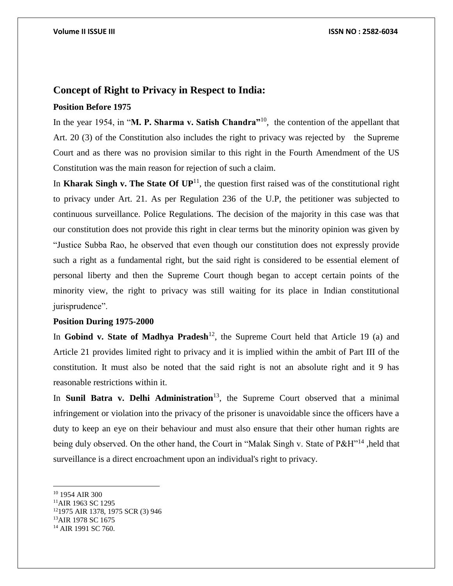### **Concept of Right to Privacy in Respect to India:**

### **Position Before 1975**

In the year 1954, in "**M. P. Sharma v. Satish Chandra"**<sup>10</sup>, the contention of the appellant that Art. 20 (3) of the Constitution also includes the right to privacy was rejected by the Supreme Court and as there was no provision similar to this right in the Fourth Amendment of the US Constitution was the main reason for rejection of such a claim.

In **Kharak Singh v. The State Of**  $UP<sup>11</sup>$ , the question first raised was of the constitutional right to privacy under Art. 21. As per Regulation 236 of the U.P, the petitioner was subjected to continuous surveillance. Police Regulations. The decision of the majority in this case was that our constitution does not provide this right in clear terms but the minority opinion was given by "Justice Subba Rao, he observed that even though our constitution does not expressly provide such a right as a fundamental right, but the said right is considered to be essential element of personal liberty and then the Supreme Court though began to accept certain points of the minority view, the right to privacy was still waiting for its place in Indian constitutional jurisprudence".

### **Position During 1975-2000**

In **Gobind v. State of Madhya Pradesh**<sup>12</sup>, the Supreme Court held that Article 19 (a) and Article 21 provides limited right to privacy and it is implied within the ambit of Part III of the constitution. It must also be noted that the said right is not an absolute right and it 9 has reasonable restrictions within it.

In **Sunil Batra v. Delhi Administration**<sup>13</sup>, the Supreme Court observed that a minimal infringement or violation into the privacy of the prisoner is unavoidable since the officers have a duty to keep an eye on their behaviour and must also ensure that their other human rights are being duly observed. On the other hand, the Court in "Malak Singh v. State of P&H"<sup>14</sup>, held that surveillance is a direct encroachment upon an individual's right to privacy.

l

<sup>10</sup> 1954 AIR 300

<sup>11</sup>AIR 1963 SC 1295

<sup>12</sup>1975 AIR 1378, 1975 SCR (3) 946

<sup>&</sup>lt;sup>13</sup>AIR 1978 SC 1675

<sup>&</sup>lt;sup>14</sup> AIR 1991 SC 760.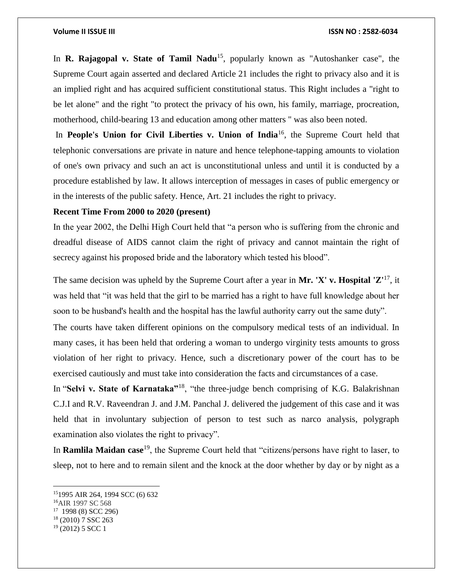In **R. Rajagopal v. State of Tamil Nadu**<sup>15</sup>, popularly known as "Autoshanker case", the Supreme Court again asserted and declared Article 21 includes the right to privacy also and it is an implied right and has acquired sufficient constitutional status. This Right includes a "right to be let alone" and the right "to protect the privacy of his own, his family, marriage, procreation, motherhood, child-bearing 13 and education among other matters " was also been noted.

In **People's Union for Civil Liberties v. Union of India**<sup>16</sup>, the Supreme Court held that telephonic conversations are private in nature and hence telephone-tapping amounts to violation of one's own privacy and such an act is unconstitutional unless and until it is conducted by a procedure established by law. It allows interception of messages in cases of public emergency or in the interests of the public safety. Hence, Art. 21 includes the right to privacy.

### **Recent Time From 2000 to 2020 (present)**

In the year 2002, the Delhi High Court held that "a person who is suffering from the chronic and dreadful disease of AIDS cannot claim the right of privacy and cannot maintain the right of secrecy against his proposed bride and the laboratory which tested his blood".

The same decision was upheld by the Supreme Court after a year in **Mr. 'X' v. Hospital 'Z**<sup>17</sup>, it was held that "it was held that the girl to be married has a right to have full knowledge about her soon to be husband's health and the hospital has the lawful authority carry out the same duty".

The courts have taken different opinions on the compulsory medical tests of an individual. In many cases, it has been held that ordering a woman to undergo virginity tests amounts to gross violation of her right to privacy. Hence, such a discretionary power of the court has to be exercised cautiously and must take into consideration the facts and circumstances of a case.

In "**Selvi v. State of Karnataka"**<sup>18</sup>, "the three-judge bench comprising of K.G. Balakrishnan C.J.I and R.V. Raveendran J. and J.M. Panchal J. delivered the judgement of this case and it was held that in involuntary subjection of person to test such as narco analysis, polygraph examination also violates the right to privacy".

In **Ramlila Maidan case**<sup>19</sup>, the Supreme Court held that "citizens/persons have right to laser, to sleep, not to here and to remain silent and the knock at the door whether by day or by night as a

l

<sup>15</sup>1995 AIR 264, 1994 SCC (6) 632

<sup>16</sup>AIR 1997 SC 568

<sup>17</sup> 1998 (8) SCC 296)

<sup>18</sup> (2010) 7 SSC 263

 $19$  (2012) 5 SCC 1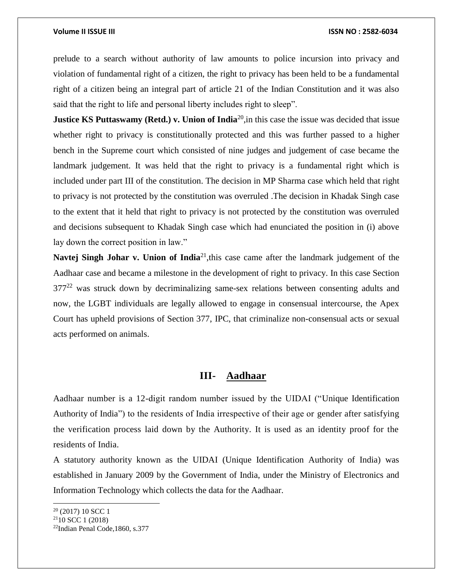prelude to a search without authority of law amounts to police incursion into privacy and violation of fundamental right of a citizen, the right to privacy has been held to be a fundamental right of a citizen being an integral part of article 21 of the Indian Constitution and it was also said that the right to life and personal liberty includes right to sleep".

**Justice KS Puttaswamy (Retd.) v. Union of India<sup>20</sup>, in this case the issue was decided that issue** whether right to privacy is constitutionally protected and this was further passed to a higher bench in the Supreme court which consisted of nine judges and judgement of case became the landmark judgement. It was held that the right to privacy is a fundamental right which is included under part III of the constitution. The decision in MP Sharma case which held that right to privacy is not protected by the constitution was overruled .The decision in Khadak Singh case to the extent that it held that right to privacy is not protected by the constitution was overruled and decisions subsequent to Khadak Singh case which had enunciated the position in (i) above lay down the correct position in law."

**Navtej Singh Johar v. Union of India**<sup>21</sup>, this case came after the landmark judgement of the Aadhaar case and became a milestone in the development of right to privacy. In this case Section  $377<sup>22</sup>$  was struck down by decriminalizing same-sex relations between consenting adults and now, the LGBT individuals are legally allowed to engage in consensual intercourse, the Apex Court has upheld provisions of Section 377, IPC, that criminalize non-consensual acts or sexual acts performed on animals.

### **III- Aadhaar**

Aadhaar number is a 12-digit random number issued by the UIDAI ("Unique Identification Authority of India") to the residents of India irrespective of their age or gender after satisfying the verification process laid down by the Authority. It is used as an identity proof for the residents of India.

A statutory authority known as the UIDAI (Unique Identification Authority of India) was established in January 2009 by the Government of India, under the Ministry of Electronics and Information Technology which collects the data for the Aadhaar.

 $20$  (2017) 10 SCC 1

 $2110$  SCC 1 (2018)

<sup>22</sup>Indian Penal Code,1860, s.377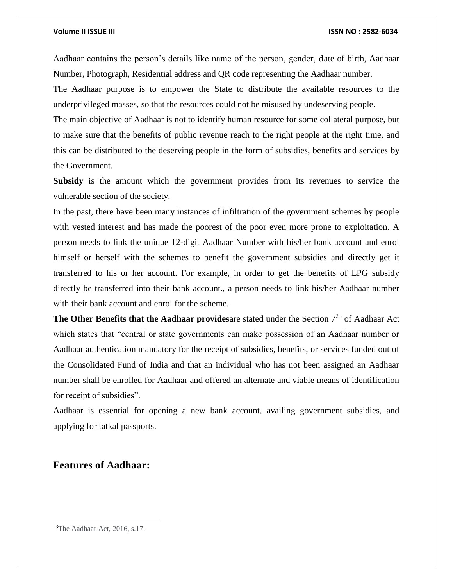Aadhaar contains the person's details like name of the person, gender, date of birth, Aadhaar Number, Photograph, Residential address and QR code representing the Aadhaar number.

The Aadhaar purpose is to empower the State to distribute the available resources to the underprivileged masses, so that the resources could not be misused by undeserving people.

The main objective of Aadhaar is not to identify human resource for some collateral purpose, but to make sure that the benefits of public revenue reach to the right people at the right time, and this can be distributed to the deserving people in the form of subsidies, benefits and services by the Government.

**Subsidy** is the amount which the government provides from its revenues to service the vulnerable section of the society.

In the past, there have been many instances of infiltration of the government schemes by people with vested interest and has made the poorest of the poor even more prone to exploitation. A person needs to link the unique 12-digit Aadhaar Number with his/her bank account and enrol himself or herself with the schemes to benefit the government subsidies and directly get it transferred to his or her account. For example, in order to get the benefits of LPG subsidy directly be transferred into their bank account., a person needs to link his/her Aadhaar number with their bank account and enrol for the scheme.

**The Other Benefits that the Aadhaar providesare** stated under the Section  $7^{23}$  of Aadhaar Act which states that "central or state governments can make possession of an Aadhaar number or Aadhaar authentication mandatory for the receipt of subsidies, benefits, or services funded out of the Consolidated Fund of India and that an individual who has not been assigned an Aadhaar number shall be enrolled for Aadhaar and offered an alternate and viable means of identification for receipt of subsidies".

Aadhaar is essential for opening a new bank account, availing government subsidies, and applying for tatkal passports.

# **Features of Aadhaar:**

<sup>23</sup>The Aadhaar Act, 2016, s.17.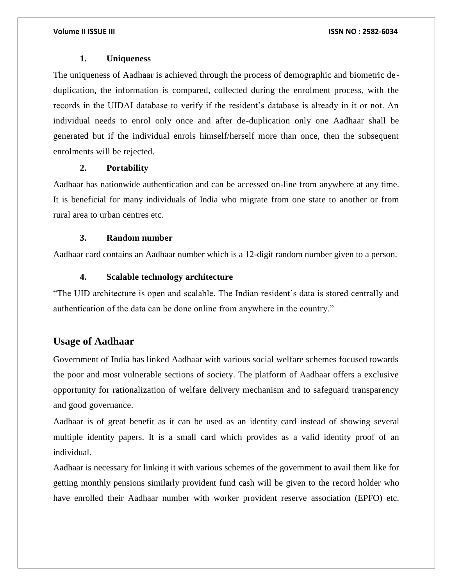### **1. Uniqueness**

The uniqueness of Aadhaar is achieved through the process of demographic and biometric deduplication, the information is compared, collected during the enrolment process, with the records in the UIDAI database to verify if the resident's database is already in it or not. An individual needs to enrol only once and after de-duplication only one Aadhaar shall be generated but if the individual enrols himself/herself more than once, then the subsequent enrolments will be rejected.

### **2. Portability**

Aadhaar has nationwide authentication and can be accessed on-line from anywhere at any time. It is beneficial for many individuals of India who migrate from one state to another or from rural area to urban centres etc.

### **3. Random number**

Aadhaar card contains an Aadhaar number which is a 12-digit random number given to a person.

### **4. Scalable technology architecture**

"The UID architecture is open and scalable. The Indian resident's data is stored centrally and authentication of the data can be done online from anywhere in the country."

# **Usage of Aadhaar**

Government of India has linked Aadhaar with various social welfare schemes focused towards the poor and most vulnerable sections of society. The platform of Aadhaar offers a exclusive opportunity for rationalization of welfare delivery mechanism and to safeguard transparency and good governance.

Aadhaar is of great benefit as it can be used as an identity card instead of showing several multiple identity papers. It is a small card which provides as a valid identity proof of an individual.

Aadhaar is necessary for linking it with various schemes of the government to avail them like for getting monthly pensions similarly provident fund cash will be given to the record holder who have enrolled their Aadhaar number with worker provident reserve association (EPFO) etc.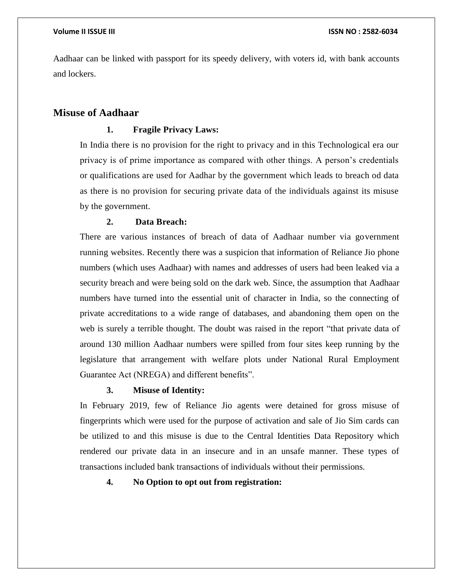Aadhaar can be linked with passport for its speedy delivery, with voters id, with bank accounts and lockers.

### **Misuse of Aadhaar**

### **1. Fragile Privacy Laws:**

In India there is no provision for the right to privacy and in this Technological era our privacy is of prime importance as compared with other things. A person's credentials or qualifications are used for Aadhar by the government which leads to breach od data as there is no provision for securing private data of the individuals against its misuse by the government.

### **2. Data Breach:**

There are various instances of breach of data of Aadhaar number via government running websites. Recently there was a suspicion that information of Reliance Jio phone numbers (which uses Aadhaar) with names and addresses of users had been leaked via a security breach and were being sold on the dark web. Since, the assumption that Aadhaar numbers have turned into the essential unit of character in India, so the connecting of private accreditations to a wide range of databases, and abandoning them open on the web is surely a terrible thought. The doubt was raised in the report "that private data of around 130 million Aadhaar numbers were spilled from four sites keep running by the legislature that arrangement with welfare plots under National Rural Employment Guarantee Act (NREGA) and different benefits".

### **3. Misuse of Identity:**

In February 2019, few of Reliance Jio agents were detained for gross misuse of fingerprints which were used for the purpose of activation and sale of Jio Sim cards can be utilized to and this misuse is due to the Central Identities Data Repository which rendered our private data in an insecure and in an unsafe manner. These types of transactions included bank transactions of individuals without their permissions.

### **4. No Option to opt out from registration:**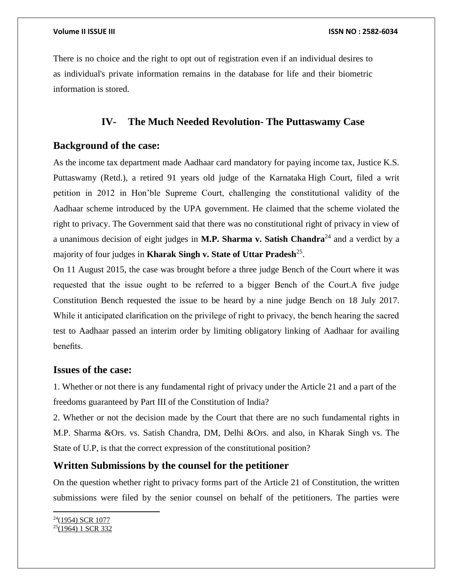There is no choice and the right to opt out of registration even if an individual desires to as individual's private information remains in the database for life and their biometric information is stored.

# **IV- The Much Needed Revolution- The Puttaswamy Case**

# **Background of the case:**

As the income tax department made Aadhaar card mandatory for paying income tax, Justice K.S. Puttaswamy (Retd.), a retired 91 years old judge of the Karnataka High Court, filed a writ petition in 2012 in Hon'ble Supreme Court, challenging the constitutional validity of the Aadhaar scheme introduced by the UPA government. He claimed that the scheme violated the right to privacy. The Government said that there was no constitutional right of privacy in view of a unanimous decision of eight judges in **M.P. Sharma v. Satish Chandra**<sup>24</sup> and a verdict by a majority of four judges in **Kharak Singh v. State of Uttar Pradesh**<sup>25</sup> .

On 11 August 2015, the case was brought before a three judge Bench of the Court where it was requested that the issue ought to be referred to a bigger Bench of the Court.A five judge Constitution Bench requested the issue to be heard by a nine judge Bench on 18 July 2017. While it anticipated clarification on the privilege of right to privacy, the bench hearing the sacred test to Aadhaar passed an interim order by limiting obligatory linking of Aadhaar for availing benefits.

### **Issues of the case:**

1. Whether or not there is any fundamental right of privacy under the Article 21 and a part of the freedoms guaranteed by Part III of the Constitution of India?

2. Whether or not the decision made by the Court that there are no such fundamental rights in M.P. Sharma &Ors. vs. Satish Chandra, DM, Delhi &Ors. and also, in Kharak Singh vs. The State of U.P, is that the correct expression of the constitutional position?

# **Written Submissions by the counsel for the petitioner**

On the question whether right to privacy forms part of the Article 21 of Constitution, the written submissions were filed by the senior counsel on behalf of the petitioners. The parties were

 $24(1954)$  SCR 1077  $25(1964)$  1 SCR 332

 $\overline{a}$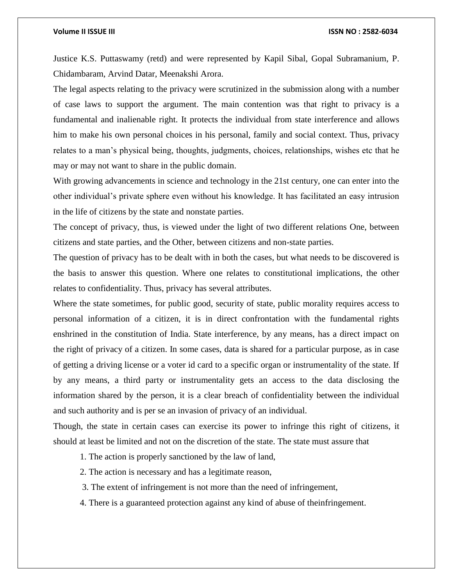Justice K.S. Puttaswamy (retd) and were represented by Kapil Sibal, Gopal Subramanium, P. Chidambaram, Arvind Datar, Meenakshi Arora.

The legal aspects relating to the privacy were scrutinized in the submission along with a number of case laws to support the argument. The main contention was that right to privacy is a fundamental and inalienable right. It protects the individual from state interference and allows him to make his own personal choices in his personal, family and social context. Thus, privacy relates to a man's physical being, thoughts, judgments, choices, relationships, wishes etc that he may or may not want to share in the public domain.

With growing advancements in science and technology in the 21st century, one can enter into the other individual's private sphere even without his knowledge. It has facilitated an easy intrusion in the life of citizens by the state and nonstate parties.

The concept of privacy, thus, is viewed under the light of two different relations One, between citizens and state parties, and the Other, between citizens and non-state parties.

The question of privacy has to be dealt with in both the cases, but what needs to be discovered is the basis to answer this question. Where one relates to constitutional implications, the other relates to confidentiality. Thus, privacy has several attributes.

Where the state sometimes, for public good, security of state, public morality requires access to personal information of a citizen, it is in direct confrontation with the fundamental rights enshrined in the constitution of India. State interference, by any means, has a direct impact on the right of privacy of a citizen. In some cases, data is shared for a particular purpose, as in case of getting a driving license or a voter id card to a specific organ or instrumentality of the state. If by any means, a third party or instrumentality gets an access to the data disclosing the information shared by the person, it is a clear breach of confidentiality between the individual and such authority and is per se an invasion of privacy of an individual.

Though, the state in certain cases can exercise its power to infringe this right of citizens, it should at least be limited and not on the discretion of the state. The state must assure that

1. The action is properly sanctioned by the law of land,

- 2. The action is necessary and has a legitimate reason,
- 3. The extent of infringement is not more than the need of infringement,
- 4. There is a guaranteed protection against any kind of abuse of theinfringement.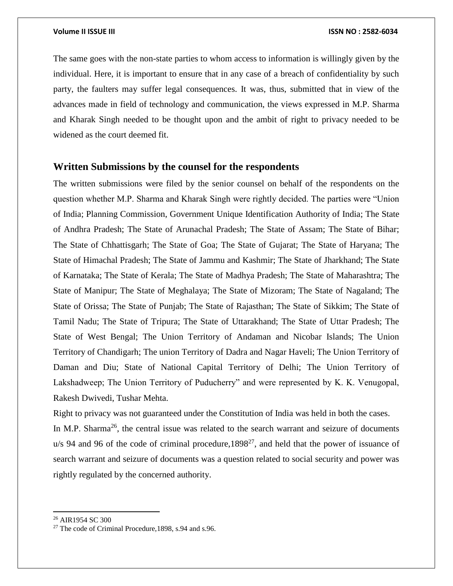The same goes with the non-state parties to whom access to information is willingly given by the individual. Here, it is important to ensure that in any case of a breach of confidentiality by such party, the faulters may suffer legal consequences. It was, thus, submitted that in view of the advances made in field of technology and communication, the views expressed in M.P. Sharma and Kharak Singh needed to be thought upon and the ambit of right to privacy needed to be widened as the court deemed fit.

### **Written Submissions by the counsel for the respondents**

The written submissions were filed by the senior counsel on behalf of the respondents on the question whether M.P. Sharma and Kharak Singh were rightly decided. The parties were "Union of India; Planning Commission, Government Unique Identification Authority of India; The State of Andhra Pradesh; The State of Arunachal Pradesh; The State of Assam; The State of Bihar; The State of Chhattisgarh; The State of Goa; The State of Gujarat; The State of Haryana; The State of Himachal Pradesh; The State of Jammu and Kashmir; The State of Jharkhand; The State of Karnataka; The State of Kerala; The State of Madhya Pradesh; The State of Maharashtra; The State of Manipur; The State of Meghalaya; The State of Mizoram; The State of Nagaland; The State of Orissa; The State of Punjab; The State of Rajasthan; The State of Sikkim; The State of Tamil Nadu; The State of Tripura; The State of Uttarakhand; The State of Uttar Pradesh; The State of West Bengal; The Union Territory of Andaman and Nicobar Islands; The Union Territory of Chandigarh; The union Territory of Dadra and Nagar Haveli; The Union Territory of Daman and Diu; State of National Capital Territory of Delhi; The Union Territory of Lakshadweep; The Union Territory of Puducherry" and were represented by K. K. Venugopal, Rakesh Dwivedi, Tushar Mehta.

Right to privacy was not guaranteed under the Constitution of India was held in both the cases.

In M.P. Sharma<sup>26</sup>, the central issue was related to the search warrant and seizure of documents  $u/s$  94 and 96 of the code of criminal procedure, 1898<sup>27</sup>, and held that the power of issuance of search warrant and seizure of documents was a question related to social security and power was rightly regulated by the concerned authority.

 $\overline{a}$ 

<sup>26</sup> AIR1954 SC 300

<sup>27</sup> The code of Criminal Procedure,1898, s.94 and s.96.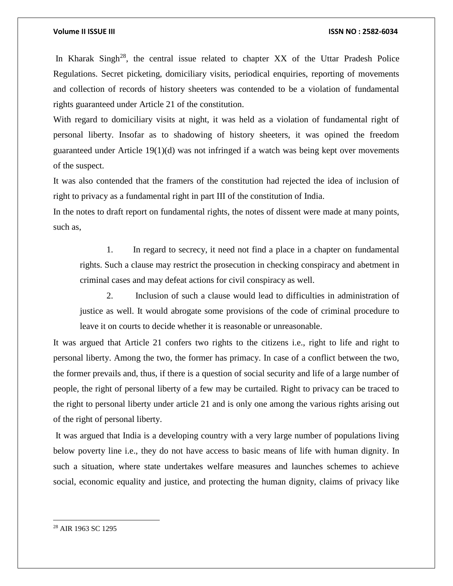In Kharak Singh<sup>28</sup>, the central issue related to chapter XX of the Uttar Pradesh Police Regulations. Secret picketing, domiciliary visits, periodical enquiries, reporting of movements and collection of records of history sheeters was contended to be a violation of fundamental rights guaranteed under Article 21 of the constitution.

With regard to domiciliary visits at night, it was held as a violation of fundamental right of personal liberty. Insofar as to shadowing of history sheeters, it was opined the freedom guaranteed under Article 19(1)(d) was not infringed if a watch was being kept over movements of the suspect.

It was also contended that the framers of the constitution had rejected the idea of inclusion of right to privacy as a fundamental right in part III of the constitution of India.

In the notes to draft report on fundamental rights, the notes of dissent were made at many points, such as,

1. In regard to secrecy, it need not find a place in a chapter on fundamental rights. Such a clause may restrict the prosecution in checking conspiracy and abetment in criminal cases and may defeat actions for civil conspiracy as well.

2. Inclusion of such a clause would lead to difficulties in administration of justice as well. It would abrogate some provisions of the code of criminal procedure to leave it on courts to decide whether it is reasonable or unreasonable.

It was argued that Article 21 confers two rights to the citizens i.e., right to life and right to personal liberty. Among the two, the former has primacy. In case of a conflict between the two, the former prevails and, thus, if there is a question of social security and life of a large number of people, the right of personal liberty of a few may be curtailed. Right to privacy can be traced to the right to personal liberty under article 21 and is only one among the various rights arising out of the right of personal liberty.

It was argued that India is a developing country with a very large number of populations living below poverty line i.e., they do not have access to basic means of life with human dignity. In such a situation, where state undertakes welfare measures and launches schemes to achieve social, economic equality and justice, and protecting the human dignity, claims of privacy like

<sup>28</sup> AIR 1963 SC 1295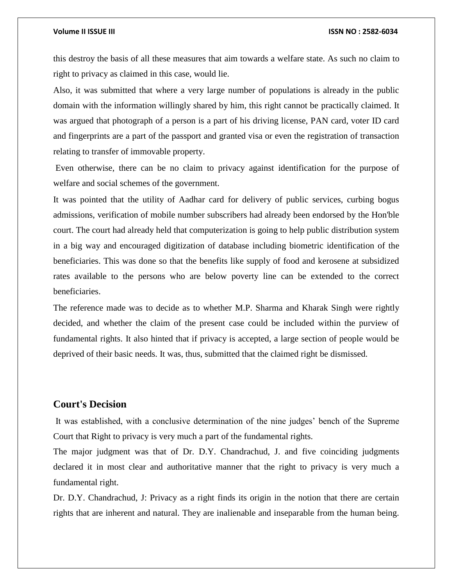this destroy the basis of all these measures that aim towards a welfare state. As such no claim to right to privacy as claimed in this case, would lie.

Also, it was submitted that where a very large number of populations is already in the public domain with the information willingly shared by him, this right cannot be practically claimed. It was argued that photograph of a person is a part of his driving license, PAN card, voter ID card and fingerprints are a part of the passport and granted visa or even the registration of transaction relating to transfer of immovable property.

Even otherwise, there can be no claim to privacy against identification for the purpose of welfare and social schemes of the government.

It was pointed that the utility of Aadhar card for delivery of public services, curbing bogus admissions, verification of mobile number subscribers had already been endorsed by the Hon'ble court. The court had already held that computerization is going to help public distribution system in a big way and encouraged digitization of database including biometric identification of the beneficiaries. This was done so that the benefits like supply of food and kerosene at subsidized rates available to the persons who are below poverty line can be extended to the correct beneficiaries.

The reference made was to decide as to whether M.P. Sharma and Kharak Singh were rightly decided, and whether the claim of the present case could be included within the purview of fundamental rights. It also hinted that if privacy is accepted, a large section of people would be deprived of their basic needs. It was, thus, submitted that the claimed right be dismissed.

### **Court's Decision**

It was established, with a conclusive determination of the nine judges' bench of the Supreme Court that Right to privacy is very much a part of the fundamental rights.

The major judgment was that of Dr. D.Y. Chandrachud, J. and five coinciding judgments declared it in most clear and authoritative manner that the right to privacy is very much a fundamental right.

Dr. D.Y. Chandrachud, J: Privacy as a right finds its origin in the notion that there are certain rights that are inherent and natural. They are inalienable and inseparable from the human being.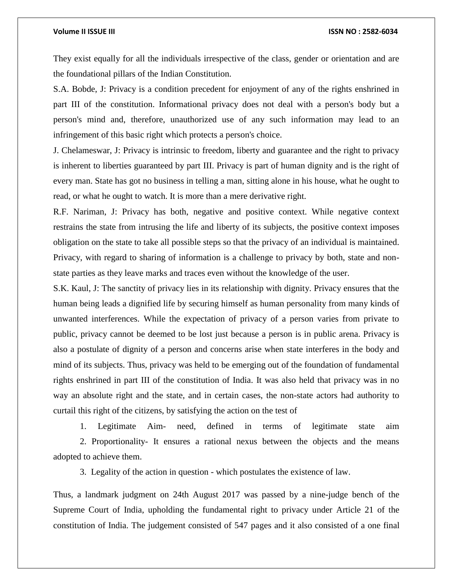They exist equally for all the individuals irrespective of the class, gender or orientation and are the foundational pillars of the Indian Constitution.

S.A. Bobde, J: Privacy is a condition precedent for enjoyment of any of the rights enshrined in part III of the constitution. Informational privacy does not deal with a person's body but a person's mind and, therefore, unauthorized use of any such information may lead to an infringement of this basic right which protects a person's choice.

J. Chelameswar, J: Privacy is intrinsic to freedom, liberty and guarantee and the right to privacy is inherent to liberties guaranteed by part III. Privacy is part of human dignity and is the right of every man. State has got no business in telling a man, sitting alone in his house, what he ought to read, or what he ought to watch. It is more than a mere derivative right.

R.F. Nariman, J: Privacy has both, negative and positive context. While negative context restrains the state from intrusing the life and liberty of its subjects, the positive context imposes obligation on the state to take all possible steps so that the privacy of an individual is maintained. Privacy, with regard to sharing of information is a challenge to privacy by both, state and nonstate parties as they leave marks and traces even without the knowledge of the user.

S.K. Kaul, J: The sanctity of privacy lies in its relationship with dignity. Privacy ensures that the human being leads a dignified life by securing himself as human personality from many kinds of unwanted interferences. While the expectation of privacy of a person varies from private to public, privacy cannot be deemed to be lost just because a person is in public arena. Privacy is also a postulate of dignity of a person and concerns arise when state interferes in the body and mind of its subjects. Thus, privacy was held to be emerging out of the foundation of fundamental rights enshrined in part III of the constitution of India. It was also held that privacy was in no way an absolute right and the state, and in certain cases, the non-state actors had authority to curtail this right of the citizens, by satisfying the action on the test of

1. Legitimate Aim- need, defined in terms of legitimate state aim 2. Proportionality- It ensures a rational nexus between the objects and the means adopted to achieve them.

3. Legality of the action in question - which postulates the existence of law.

Thus, a landmark judgment on 24th August 2017 was passed by a nine-judge bench of the Supreme Court of India, upholding the fundamental right to privacy under Article 21 of the constitution of India. The judgement consisted of 547 pages and it also consisted of a one final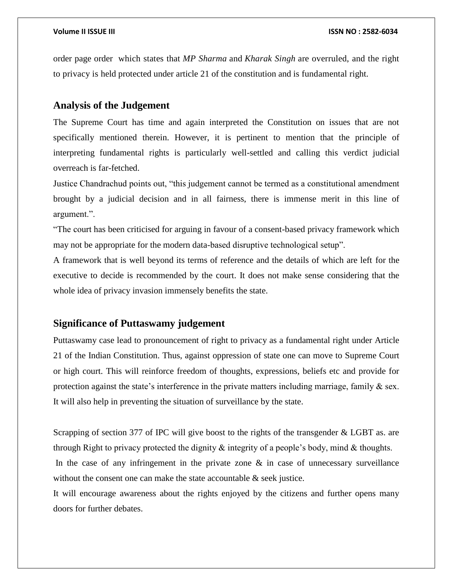order page order which states that *MP Sharma* and *Kharak Singh* are overruled, and the right to privacy is held protected under article 21 of the constitution and is fundamental right.

# **Analysis of the Judgement**

The Supreme Court has time and again interpreted the Constitution on issues that are not specifically mentioned therein. However, it is pertinent to mention that the principle of interpreting fundamental rights is particularly well-settled and calling this verdict judicial overreach is far-fetched.

Justice Chandrachud points out, "this judgement cannot be termed as a constitutional amendment brought by a judicial decision and in all fairness, there is immense merit in this line of argument.".

"The court has been criticised for arguing in favour of a consent-based privacy framework which may not be appropriate for the modern data-based disruptive technological setup".

A framework that is well beyond its terms of reference and the details of which are left for the executive to decide is recommended by the court. It does not make sense considering that the whole idea of privacy invasion immensely benefits the state.

# **Significance of Puttaswamy judgement**

Puttaswamy case lead to pronouncement of right to privacy as a fundamental right under Article 21 of the Indian Constitution. Thus, against oppression of state one can move to Supreme Court or high court. This will reinforce freedom of thoughts, expressions, beliefs etc and provide for protection against the state's interference in the private matters including marriage, family & sex. It will also help in preventing the situation of surveillance by the state.

Scrapping of section 377 of IPC will give boost to the rights of the transgender & LGBT as. are through Right to privacy protected the dignity  $\&$  integrity of a people's body, mind  $\&$  thoughts. In the case of any infringement in the private zone  $\&$  in case of unnecessary surveillance without the consent one can make the state accountable  $\&$  seek justice.

It will encourage awareness about the rights enjoyed by the citizens and further opens many doors for further debates.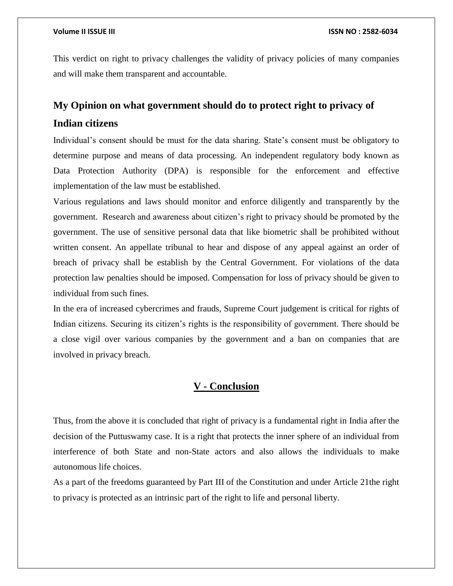This verdict on right to privacy challenges the validity of privacy policies of many companies and will make them transparent and accountable.

# **My Opinion on what government should do to protect right to privacy of**

## **Indian citizens**

Individual's consent should be must for the data sharing. State's consent must be obligatory to determine purpose and means of data processing. An independent regulatory body known as Data Protection Authority (DPA) is responsible for the enforcement and effective implementation of the law must be established.

Various regulations and laws should monitor and enforce diligently and transparently by the government. Research and awareness about citizen's right to privacy should be promoted by the government. The use of sensitive personal data that like biometric shall be prohibited without written consent. An appellate tribunal to hear and dispose of any appeal against an order of breach of privacy shall be establish by the Central Government. For violations of the data protection law penalties should be imposed. Compensation for loss of privacy should be given to individual from such fines.

In the era of increased cybercrimes and frauds, Supreme Court judgement is critical for rights of Indian citizens. Securing its citizen's rights is the responsibility of government. There should be a close vigil over various companies by the government and a ban on companies that are involved in privacy breach.

### **V - Conclusion**

Thus, from the above it is concluded that right of privacy is a fundamental right in India after the decision of the Puttuswamy case. It is a right that protects the inner sphere of an individual from interference of both State and non-State actors and also allows the individuals to make autonomous life choices.

As a part of the freedoms guaranteed by Part III of the Constitution and under Article 21the right to privacy is protected as an intrinsic part of the right to life and personal liberty.